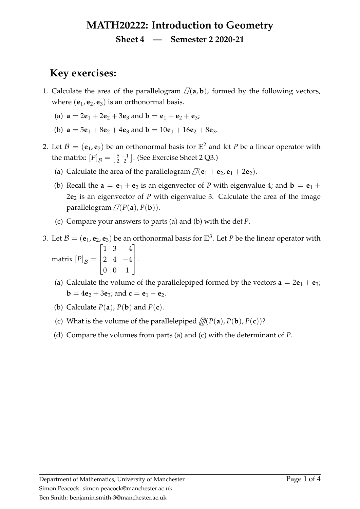# **MATH20222: Introduction to Geometry**

#### **Sheet 4 — Semester 2 2020-21**

## <span id="page-0-5"></span>**Key exercises:**

- 1. Calculate the area of the parallelogram  $\mathcal{D}(\mathbf{a}, \mathbf{b})$ , formed by the following vectors, where  $(e_1, e_2, e_3)$  is an orthonormal basis.
	- (a)  $\mathbf{a} = 2\mathbf{e}_1 + 2\mathbf{e}_2 + 3\mathbf{e}_3$  and  $\mathbf{b} = \mathbf{e}_1 + \mathbf{e}_2 + \mathbf{e}_3$ ;
	- (b)  $\mathbf{a} = 5\mathbf{e}_1 + 8\mathbf{e}_2 + 4\mathbf{e}_3$  and  $\mathbf{b} = 10\mathbf{e}_1 + 16\mathbf{e}_2 + 8\mathbf{e}_3$ .
- <span id="page-0-1"></span><span id="page-0-0"></span>2. Let  $\mathcal{B} = (\mathbf{e}_1, \mathbf{e}_2)$  be an orthonormal basis for  $\mathbb{E}^2$  and let *P* be a linear operator with the matrix:  $[P]_B = \begin{bmatrix} 5 & -1 \\ 2 & 2 \end{bmatrix}$  $\frac{5}{2}$  $\frac{-1}{2}$ ]. (See Exercise Sheet 2 Q3.)
	- (a) Calculate the area of the parallelogram  $\mathcal{D}(\mathbf{e}_1 + \mathbf{e}_2, \mathbf{e}_1 + 2\mathbf{e}_2)$ .
	- (b) Recall the  $\mathbf{a} = \mathbf{e}_1 + \mathbf{e}_2$  is an eigenvector of *P* with eigenvalue 4; and  $\mathbf{b} = \mathbf{e}_1 + \mathbf{e}_2$ 2**e**<sup>2</sup> is an eigenvector of *P* with eigenvalue 3. Calculate the area of the image parallelogram  $\mathcal{D}(P(\mathbf{a}), P(\mathbf{b})).$
	- (c) Compare your answers to parts [\(a\)](#page-0-0) and [\(b\)](#page-0-1) with the det *P*.
- <span id="page-0-4"></span><span id="page-0-3"></span><span id="page-0-2"></span>3. Let  $\mathcal{B} = (\mathbf{e}_1, \mathbf{e}_2, \mathbf{e}_3)$  be an orthonormal basis for  $\mathbb{E}^3$ . Let P be the linear operator with matrix  $[P]_{\cal B} =$  $\sqrt{ }$  $\overline{\phantom{a}}$ 1 3 −4 2 4 −4 0 0 1 1  $\vert \cdot$ 
	- (a) Calculate the volume of the parallelepiped formed by the vectors  $\mathbf{a} = 2\mathbf{e}_1 + \mathbf{e}_3$ ; **b** =  $4e_2 + 3e_3$ ; and **c** =  $e_1 - e_2$ .
	- (b) Calculate  $P(a)$ ,  $P(b)$  and  $P(c)$ .
	- (c) What is the volume of the parallelepiped  $\mathcal{D}(P(\mathbf{a}), P(\mathbf{b}), P(\mathbf{c}))$ ?
	- (d) Compare the volumes from parts [\(a\)](#page-0-2) and [\(c\)](#page-0-3) with the determinant of *P*.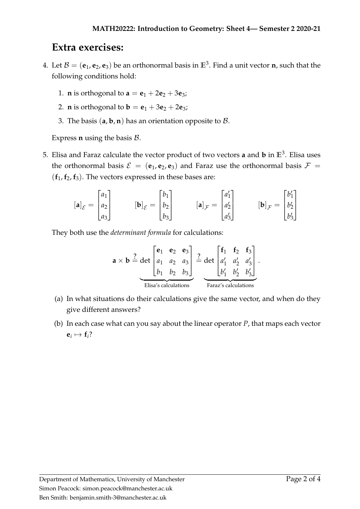### **Extra exercises:**

- 4. Let  $\mathcal{B} = (\mathbf{e}_1, \mathbf{e}_2, \mathbf{e}_3)$  be an orthonormal basis in  $\mathbb{E}^3$ . Find a unit vector **n**, such that the following conditions hold:
	- 1. **n** is orthogonal to  $a = e_1 + 2e_2 + 3e_3$ ;
	- 2. **n** is orthogonal to **b** =  $e_1 + 3e_2 + 2e_3$ ;
	- 3. The basis  $(a, b, n)$  has an orientation opposite to  $\beta$ .

Express  $n$  using the basis  $\beta$ .

5. Elisa and Faraz calculate the vector product of two vectors **a** and **b** in **E**<sup>3</sup> . Elisa uses the orthonormal basis  $\mathcal{E} = (\mathbf{e}_1, \mathbf{e}_2, \mathbf{e}_3)$  and Faraz use the orthonormal basis  $\mathcal{F} =$  $(f_1, f_2, f_3)$ . The vectors expressed in these bases are:

$$
\begin{bmatrix} \mathbf{a} \end{bmatrix}_{\mathcal{E}} = \begin{bmatrix} a_1 \\ a_2 \\ a_3 \end{bmatrix} \qquad \qquad \begin{bmatrix} \mathbf{b} \end{bmatrix}_{\mathcal{E}} = \begin{bmatrix} b_1 \\ b_2 \\ b_3 \end{bmatrix} \qquad \qquad \begin{bmatrix} \mathbf{a} \end{bmatrix}_{\mathcal{F}} = \begin{bmatrix} a'_1 \\ a'_2 \\ a'_3 \end{bmatrix} \qquad \qquad \begin{bmatrix} \mathbf{b} \end{bmatrix}_{\mathcal{F}} = \begin{bmatrix} b'_1 \\ b'_2 \\ b'_3 \end{bmatrix}
$$

They both use the *determinant formula* for calculations:

$$
\mathbf{a} \times \mathbf{b} \stackrel{?}{=} \underbrace{\det \begin{bmatrix} \mathbf{e}_1 & \mathbf{e}_2 & \mathbf{e}_3 \\ a_1 & a_2 & a_3 \\ b_1 & b_2 & b_3 \end{bmatrix}}_{\text{Elisa's calculations}} \stackrel{?}{=} \underbrace{\det \begin{bmatrix} \mathbf{f}_1 & \mathbf{f}_2 & \mathbf{f}_3 \\ a'_1 & a'_2 & a'_3 \\ b'_1 & b'_2 & b'_3 \end{bmatrix}}_{\text{Faraz's calculations}}.
$$

- (a) In what situations do their calculations give the same vector, and when do they give different answers?
- (b) In each case what can you say about the linear operator *P*, that maps each vector  $e_i \mapsto f_i$ ?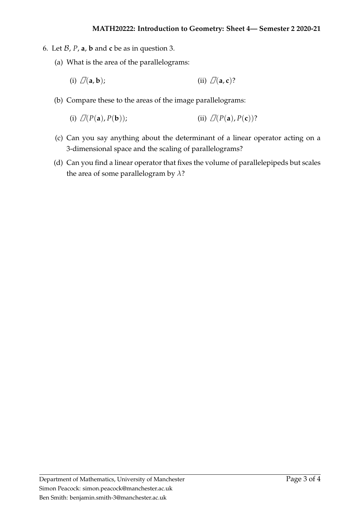- 6. Let  $\mathcal{B}$ ,  $P$ ,  $\mathbf{a}$ ,  $\mathbf{b}$  and  $\mathbf{c}$  be as in question [3.](#page-0-4)
	- (a) What is the area of the parallelograms:

(i) 
$$
\mathcal{D}(\mathbf{a}, \mathbf{b})
$$
;\t\t\t (ii)  $\mathcal{D}(\mathbf{a}, \mathbf{c})$ ?

(b) Compare these to the areas of the image parallelograms:

(i) 
$$
\mathcal{D}(P(\mathbf{a}), P(\mathbf{b}))
$$
; (ii)  $\mathcal{D}(P(\mathbf{a}), P(\mathbf{c}))$ ?

- (c) Can you say anything about the determinant of a linear operator acting on a 3-dimensional space and the scaling of parallelograms?
- (d) Can you find a linear operator that fixes the volume of parallelepipeds but scales the area of some parallelogram by *λ*?